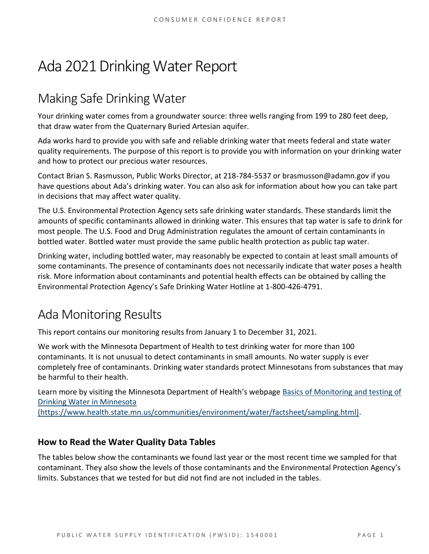# Ada 2021 Drinking Water Report

# Making Safe Drinking Water

Your drinking water comes from a groundwater source: three wells ranging from 199 to 280 feet deep, that draw water from the Quaternary Buried Artesian aquifer.

Ada works hard to provide you with safe and reliable drinking water that meets federal and state water quality requirements. The purpose of this report is to provide you with information on your drinking water and how to protect our precious water resources.

Contact Brian S. Rasmusson, Public Works Director, at 218-784-5537 or brasmusson@adamn.gov if you have questions about Ada's drinking water. You can also ask for information about how you can take part in decisions that may affect water quality.

The U.S. Environmental Protection Agency sets safe drinking water standards. These standards limit the amounts of specific contaminants allowed in drinking water. This ensures that tap water is safe to drink for most people. The U.S. Food and Drug Administration regulates the amount of certain contaminants in bottled water. Bottled water must provide the same public health protection as public tap water.

Drinking water, including bottled water, may reasonably be expected to contain at least small amounts of some contaminants. The presence of contaminants does not necessarily indicate that water poses a health risk. More information about contaminants and potential health effects can be obtained by calling the Environmental Protection Agency's Safe Drinking Water Hotline at 1-800-426-4791.

# Ada Monitoring Results

This report contains our monitoring results from January 1 to December 31, 2021.

We work with the Minnesota Department of Health to test drinking water for more than 100 contaminants. It is not unusual to detect contaminants in small amounts. No water supply is ever completely free of contaminants. Drinking water standards protect Minnesotans from substances that may be harmful to their health.

Learn more by visiting the Minnesota Department of Health's webpage [Basics of Monitoring and testing of](https://www.health.state.mn.us/communities/environment/water/factsheet/sampling.html)  [Drinking Water in Minnesota](https://www.health.state.mn.us/communities/environment/water/factsheet/sampling.html) 

[\(https://www.health.state.mn.us/communities/environment/water/factsheet/sampling.html\).](https://www.health.state.mn.us/communities/environment/water/factsheet/sampling.html)

### **How to Read the Water Quality Data Tables**

The tables below show the contaminants we found last year or the most recent time we sampled for that contaminant. They also show the levels of those contaminants and the Environmental Protection Agency's limits. Substances that we tested for but did not find are not included in the tables.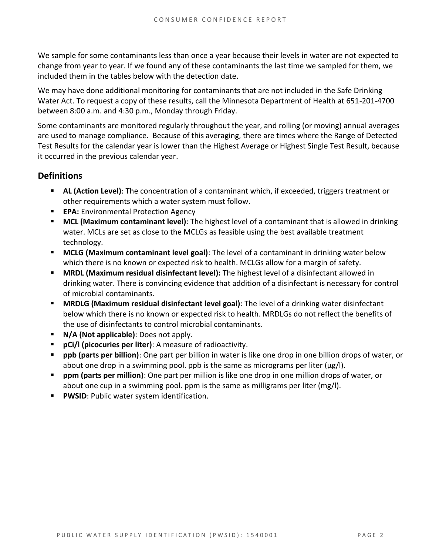We sample for some contaminants less than once a year because their levels in water are not expected to change from year to year. If we found any of these contaminants the last time we sampled for them, we included them in the tables below with the detection date.

We may have done additional monitoring for contaminants that are not included in the Safe Drinking Water Act. To request a copy of these results, call the Minnesota Department of Health at 651-201-4700 between 8:00 a.m. and 4:30 p.m., Monday through Friday.

Some contaminants are monitored regularly throughout the year, and rolling (or moving) annual averages are used to manage compliance. Because of this averaging, there are times where the Range of Detected Test Results for the calendar year is lower than the Highest Average or Highest Single Test Result, because it occurred in the previous calendar year.

### **Definitions**

- AL (Action Level): The concentration of a contaminant which, if exceeded, triggers treatment or other requirements which a water system must follow.
- **EPA:** Environmental Protection Agency
- **MCL (Maximum contaminant level)**: The highest level of a contaminant that is allowed in drinking water. MCLs are set as close to the MCLGs as feasible using the best available treatment technology.
- **MCLG (Maximum contaminant level goal)**: The level of a contaminant in drinking water below which there is no known or expected risk to health. MCLGs allow for a margin of safety.
- **MRDL (Maximum residual disinfectant level):** The highest level of a disinfectant allowed in drinking water. There is convincing evidence that addition of a disinfectant is necessary for control of microbial contaminants.
- **MRDLG (Maximum residual disinfectant level goal)**: The level of a drinking water disinfectant below which there is no known or expected risk to health. MRDLGs do not reflect the benefits of the use of disinfectants to control microbial contaminants.
- **N/A (Not applicable)**: Does not apply.
- **pCi/l (picocuries per liter)**: A measure of radioactivity.
- **ppb (parts per billion)**: One part per billion in water is like one drop in one billion drops of water, or about one drop in a swimming pool. ppb is the same as micrograms per liter (μg/l).
- **ppm (parts per million)**: One part per million is like one drop in one million drops of water, or about one cup in a swimming pool. ppm is the same as milligrams per liter (mg/l).
- **PWSID: Public water system identification.**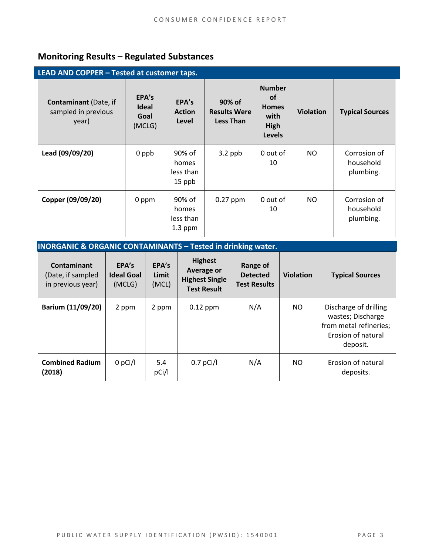### **Monitoring Results – Regulated Substances**

| LEAD AND COPPER - Tested at customer taps.                   |                                  |                                           |                                                   |                                                                             |                  |                                        |  |
|--------------------------------------------------------------|----------------------------------|-------------------------------------------|---------------------------------------------------|-----------------------------------------------------------------------------|------------------|----------------------------------------|--|
| <b>Contaminant</b> (Date, if<br>sampled in previous<br>year) | EPA's<br>Ideal<br>Goal<br>(MCLG) | EPA's<br><b>Action</b><br>Level           | 90% of<br><b>Results Were</b><br><b>Less Than</b> | <b>Number</b><br><b>of</b><br><b>Homes</b><br>with<br>High<br><b>Levels</b> | <b>Violation</b> | <b>Typical Sources</b>                 |  |
| Lead (09/09/20)                                              | 0 ppb                            | 90% of<br>homes<br>less than<br>15 ppb    | $3.2$ ppb                                         | 0 out of<br>10                                                              | <b>NO</b>        | Corrosion of<br>household<br>plumbing. |  |
| Copper (09/09/20)                                            | 0 ppm                            | 90% of<br>homes<br>less than<br>$1.3$ ppm | $0.27$ ppm                                        | 0 out of<br>10                                                              | <b>NO</b>        | Corrosion of<br>household<br>plumbing. |  |

| <b>INORGANIC &amp; ORGANIC CONTAMINANTS - Tested in drinking water.</b> |  |
|-------------------------------------------------------------------------|--|
|-------------------------------------------------------------------------|--|

| Contaminant<br>(Date, if sampled<br>in previous year) | EPA's<br><b>Ideal Goal</b><br>(MCLG) | EPA's<br>Limit<br>(MCL) | <b>Highest</b><br><b>Average or</b><br><b>Highest Single</b><br><b>Test Result</b> | Range of<br><b>Detected</b><br><b>Test Results</b> | <b>Violation</b> | <b>Typical Sources</b>                                                                                 |
|-------------------------------------------------------|--------------------------------------|-------------------------|------------------------------------------------------------------------------------|----------------------------------------------------|------------------|--------------------------------------------------------------------------------------------------------|
| Barium (11/09/20)                                     | 2 ppm                                | 2 ppm                   | $0.12$ ppm                                                                         | N/A                                                | NO.              | Discharge of drilling<br>wastes; Discharge<br>from metal refineries;<br>Erosion of natural<br>deposit. |
| <b>Combined Radium</b><br>(2018)                      | $0$ pCi/l                            | 5.4<br>pCi/l            | $0.7$ pCi/l                                                                        | N/A                                                | NO.              | Erosion of natural<br>deposits.                                                                        |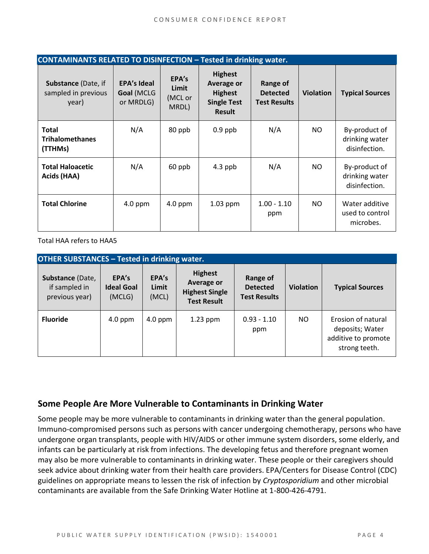| <b>CONTAMINANTS RELATED TO DISINFECTION - Tested in drinking water.</b> |                                               |                                    |                                                                                              |                                                    |                  |                                                  |  |
|-------------------------------------------------------------------------|-----------------------------------------------|------------------------------------|----------------------------------------------------------------------------------------------|----------------------------------------------------|------------------|--------------------------------------------------|--|
| <b>Substance (Date, if</b><br>sampled in previous<br>year)              | <b>EPA's Ideal</b><br>Goal (MCLG<br>or MRDLG) | EPA's<br>Limit<br>(MCL or<br>MRDL) | <b>Highest</b><br><b>Average or</b><br><b>Highest</b><br><b>Single Test</b><br><b>Result</b> | Range of<br><b>Detected</b><br><b>Test Results</b> | <b>Violation</b> | <b>Typical Sources</b>                           |  |
| <b>Total</b><br><b>Trihalomethanes</b><br>(TTHMs)                       | N/A                                           | 80 ppb                             | $0.9$ ppb                                                                                    | N/A                                                | NO.              | By-product of<br>drinking water<br>disinfection. |  |
| <b>Total Haloacetic</b><br>Acids (HAA)                                  | N/A                                           | 60 ppb                             | $4.3$ ppb                                                                                    | N/A                                                | NO.              | By-product of<br>drinking water<br>disinfection. |  |
| <b>Total Chlorine</b>                                                   | $4.0$ ppm                                     | $4.0$ ppm                          | 1.03 ppm                                                                                     | $1.00 - 1.10$<br>ppm                               | NO.              | Water additive<br>used to control<br>microbes.   |  |

Total HAA refers to HAA5

| <b>OTHER SUBSTANCES - Tested in drinking water.</b> |                                      |                         |                                                                             |                                                    |                  |                                                                               |  |  |
|-----------------------------------------------------|--------------------------------------|-------------------------|-----------------------------------------------------------------------------|----------------------------------------------------|------------------|-------------------------------------------------------------------------------|--|--|
| Substance (Date,<br>if sampled in<br>previous year) | EPA's<br><b>Ideal Goal</b><br>(MCLG) | EPA's<br>Limit<br>(MCL) | <b>Highest</b><br>Average or<br><b>Highest Single</b><br><b>Test Result</b> | Range of<br><b>Detected</b><br><b>Test Results</b> | <b>Violation</b> | <b>Typical Sources</b>                                                        |  |  |
| <b>Fluoride</b>                                     | $4.0$ ppm                            | $4.0$ ppm               | $1.23$ ppm                                                                  | $0.93 - 1.10$<br>ppm                               | NO.              | Erosion of natural<br>deposits; Water<br>additive to promote<br>strong teeth. |  |  |

### **Some People Are More Vulnerable to Contaminants in Drinking Water**

Some people may be more vulnerable to contaminants in drinking water than the general population. Immuno-compromised persons such as persons with cancer undergoing chemotherapy, persons who have undergone organ transplants, people with HIV/AIDS or other immune system disorders, some elderly, and infants can be particularly at risk from infections. The developing fetus and therefore pregnant women may also be more vulnerable to contaminants in drinking water. These people or their caregivers should seek advice about drinking water from their health care providers. EPA/Centers for Disease Control (CDC) guidelines on appropriate means to lessen the risk of infection by *Cryptosporidium* and other microbial contaminants are available from the Safe Drinking Water Hotline at 1-800-426-4791.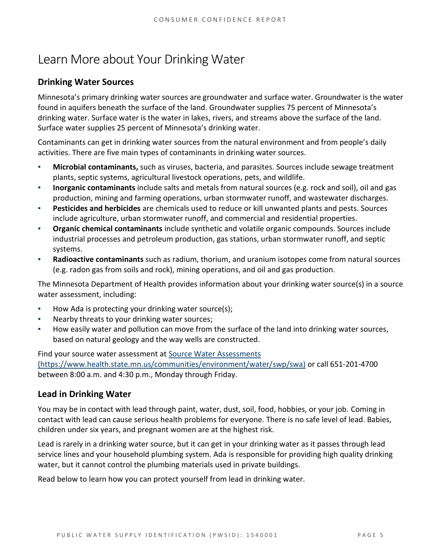# Learn More about Your Drinking Water

### **Drinking Water Sources**

Minnesota's primary drinking water sources are groundwater and surface water. Groundwater is the water found in aquifers beneath the surface of the land. Groundwater supplies 75 percent of Minnesota's drinking water. Surface water is the water in lakes, rivers, and streams above the surface of the land. Surface water supplies 25 percent of Minnesota's drinking water.

Contaminants can get in drinking water sources from the natural environment and from people's daily activities. There are five main types of contaminants in drinking water sources.

- **Microbial contaminants,** such as viruses, bacteria, and parasites. Sources include sewage treatment plants, septic systems, agricultural livestock operations, pets, and wildlife.
- **Inorganic contaminants** include salts and metals from natural sources (e.g. rock and soil), oil and gas production, mining and farming operations, urban stormwater runoff, and wastewater discharges.
- **Pesticides and herbicides** are chemicals used to reduce or kill unwanted plants and pests. Sources include agriculture, urban stormwater runoff, and commercial and residential properties.
- **Organic chemical contaminants** include synthetic and volatile organic compounds. Sources include industrial processes and petroleum production, gas stations, urban stormwater runoff, and septic systems.
- **Radioactive contaminants** such as radium, thorium, and uranium isotopes come from natural sources (e.g. radon gas from soils and rock), mining operations, and oil and gas production.

The Minnesota Department of Health provides information about your drinking water source(s) in a source water assessment, including:

- How Ada is protecting your drinking water source(s);
- Nearby threats to your drinking water sources;
- How easily water and pollution can move from the surface of the land into drinking water sources, based on natural geology and the way wells are constructed.

Find your source water assessment at [Source Water Assessments](https://www.health.state.mn.us/communities/environment/water/swp/swa)  [\(https://www.health.state.mn.us/communities/environment/water/swp/swa\)](https://www.health.state.mn.us/communities/environment/water/swp/swa) or call 651-201-4700 between 8:00 a.m. and 4:30 p.m., Monday through Friday.

### **Lead in Drinking Water**

You may be in contact with lead through paint, water, dust, soil, food, hobbies, or your job. Coming in contact with lead can cause serious health problems for everyone. There is no safe level of lead. Babies, children under six years, and pregnant women are at the highest risk.

Lead is rarely in a drinking water source, but it can get in your drinking water as it passes through lead service lines and your household plumbing system. Ada is responsible for providing high quality drinking water, but it cannot control the plumbing materials used in private buildings.

Read below to learn how you can protect yourself from lead in drinking water.